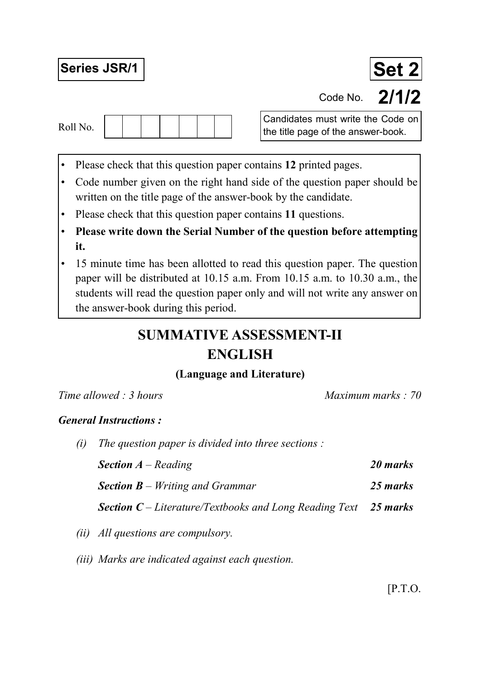# Series JSR/1 **Set 2**



Candidates must write the Code on Roll No.  $\begin{vmatrix} 1 & 1 \\ 1 & 1 \end{vmatrix}$   $\begin{vmatrix} 1 & 1 \\ 1 & 1 \end{vmatrix}$  the title page of the answer-book.

- Please check that this question paper contains **12** printed pages.
- Code number given on the right hand side of the question paper should be written on the title page of the answer-book by the candidate.
- Please check that this question paper contains **11** questions.
- **Please write down the Serial Number of the question before attempting it.**
- 15 minute time has been allotted to read this question paper. The question paper will be distributed at 10.15 a.m. From 10.15 a.m. to 10.30 a.m., the students will read the question paper only and will not write any answer on the answer-book during this period.

## **SUMMATIVE ASSESSMENT-II ENGLISH**

### **(Language and Literature)**

| Time allowed: 3 hours |                                                               | Maximum marks: 70 |  |  |
|-----------------------|---------------------------------------------------------------|-------------------|--|--|
|                       | <b>General Instructions:</b>                                  |                   |  |  |
| (i)                   | The question paper is divided into three sections :           |                   |  |  |
|                       | <b>Section</b> $A$ – Reading                                  | 20 marks          |  |  |
|                       | <b>Section B</b> – Writing and Grammar                        | 25 marks          |  |  |
|                       | <b>Section C</b> – Literature/Textbooks and Long Reading Text | 25 marks          |  |  |

- *(ii) All questions are compulsory.*
- *(iii) Marks are indicated against each question.*

Code No. **2/1/2**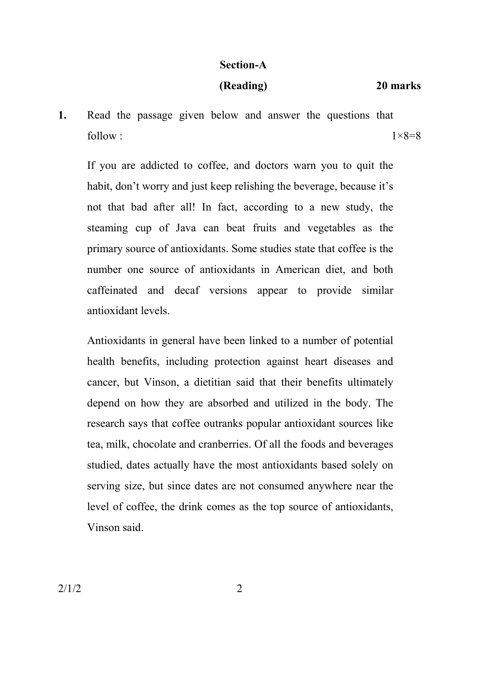#### **Section-A**

#### **(Reading) 20 marks**

**1.** Read the passage given below and answer the questions that follow :  $1 \times 8=8$ 

 If you are addicted to coffee, and doctors warn you to quit the habit, don't worry and just keep relishing the beverage, because it's not that bad after all! In fact, according to a new study, the steaming cup of Java can beat fruits and vegetables as the primary source of antioxidants. Some studies state that coffee is the number one source of antioxidants in American diet, and both caffeinated and decaf versions appear to provide similar antioxidant levels.

 Antioxidants in general have been linked to a number of potential health benefits, including protection against heart diseases and cancer, but Vinson, a dietitian said that their benefits ultimately depend on how they are absorbed and utilized in the body. The research says that coffee outranks popular antioxidant sources like tea, milk, chocolate and cranberries. Of all the foods and beverages studied, dates actually have the most antioxidants based solely on serving size, but since dates are not consumed anywhere near the level of coffee, the drink comes as the top source of antioxidants, Vinson said.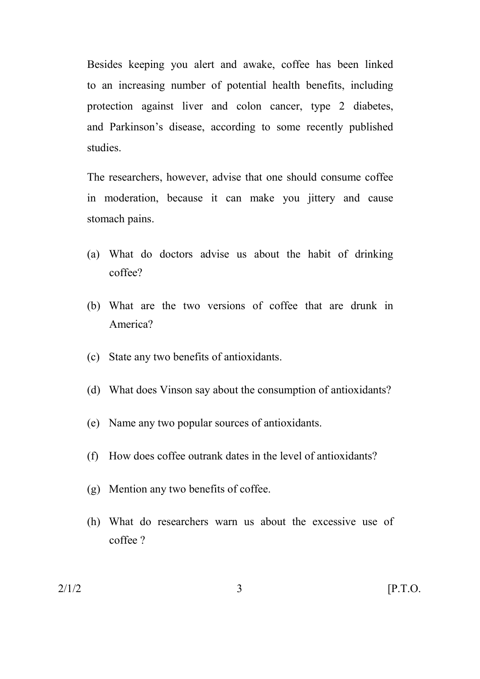Besides keeping you alert and awake, coffee has been linked to an increasing number of potential health benefits, including protection against liver and colon cancer, type 2 diabetes, and Parkinson's disease, according to some recently published studies.

 The researchers, however, advise that one should consume coffee in moderation, because it can make you jittery and cause stomach pains.

- (a) What do doctors advise us about the habit of drinking coffee?
- (b) What are the two versions of coffee that are drunk in America?
- (c) State any two benefits of antioxidants.
- (d) What does Vinson say about the consumption of antioxidants?
- (e) Name any two popular sources of antioxidants.
- (f) How does coffee outrank dates in the level of antioxidants?
- (g) Mention any two benefits of coffee.
- (h) What do researchers warn us about the excessive use of coffee ?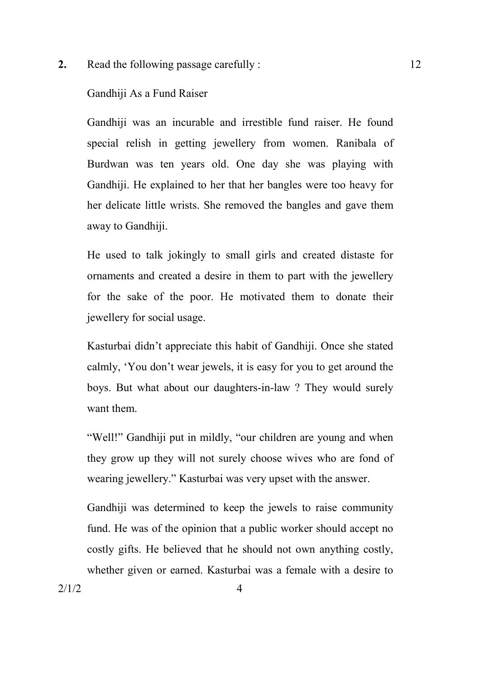**2.** Read the following passage carefully : 12

#### Gandhiji As a Fund Raiser

Gandhiji was an incurable and irrestible fund raiser. He found special relish in getting jewellery from women. Ranibala of Burdwan was ten years old. One day she was playing with Gandhiji. He explained to her that her bangles were too heavy for her delicate little wrists. She removed the bangles and gave them away to Gandhiji.

 He used to talk jokingly to small girls and created distaste for ornaments and created a desire in them to part with the jewellery for the sake of the poor. He motivated them to donate their jewellery for social usage.

 Kasturbai didn't appreciate this habit of Gandhiji. Once she stated calmly, 'You don't wear jewels, it is easy for you to get around the boys. But what about our daughters-in-law ? They would surely want them.

 "Well!" Gandhiji put in mildly, "our children are young and when they grow up they will not surely choose wives who are fond of wearing jewellery." Kasturbai was very upset with the answer.

 Gandhiji was determined to keep the jewels to raise community fund. He was of the opinion that a public worker should accept no costly gifts. He believed that he should not own anything costly, whether given or earned. Kasturbai was a female with a desire to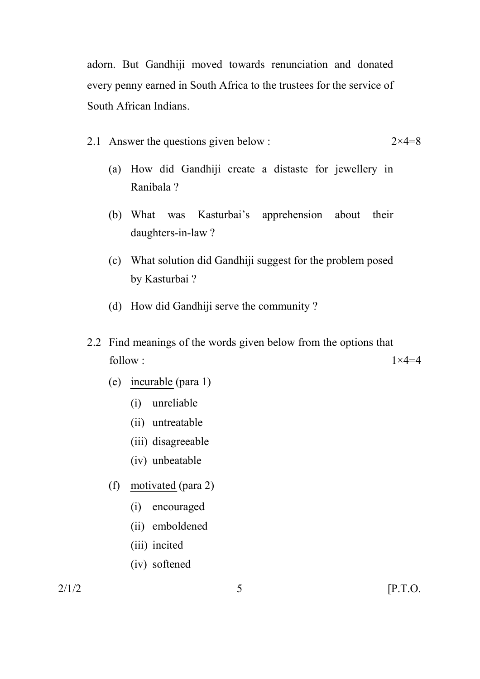adorn. But Gandhiji moved towards renunciation and donated every penny earned in South Africa to the trustees for the service of South African Indians.

- 2.1 Answer the questions given below :  $2 \times 4=8$ 
	- (a) How did Gandhiji create a distaste for jewellery in Ranibala ?
	- (b) What was Kasturbai's apprehension about their daughters-in-law ?
	- (c) What solution did Gandhiji suggest for the problem posed by Kasturbai ?
	- (d) How did Gandhiji serve the community ?
- 2.2 Find meanings of the words given below from the options that follow :  $1 \times 4=4$ 
	- (e) incurable (para 1)
		- (i) unreliable
		- (ii) untreatable
		- (iii) disagreeable
		- (iv) unbeatable
	- (f) motivated (para 2)
		- (i) encouraged
		- (ii) emboldened
		- (iii) incited
		- (iv) softened

 $2/1/2$  [P.T.O.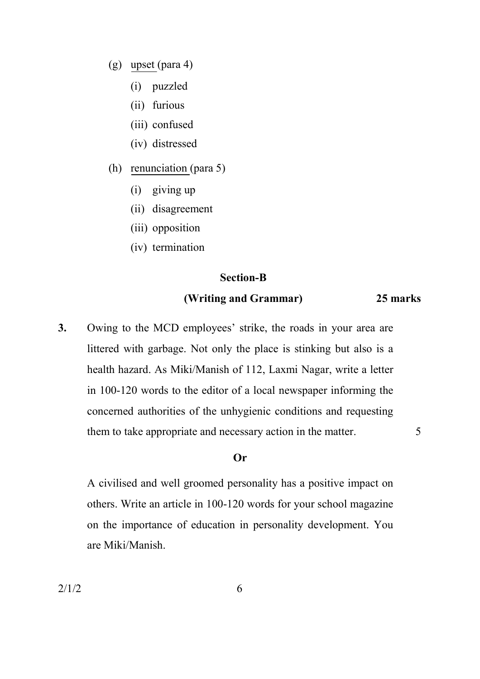- (g) upset (para 4)
	- (i) puzzled
	- (ii) furious
	- (iii) confused
	- (iv) distressed
- (h) renunciation (para 5)
	- (i) giving up
	- (ii) disagreement
	- (iii) opposition
	- (iv) termination

#### **Section-B**

#### **(Writing and Grammar) 25 marks**

**3.** Owing to the MCD employees' strike, the roads in your area are littered with garbage. Not only the place is stinking but also is a health hazard. As Miki/Manish of 112, Laxmi Nagar, write a letter in 100-120 words to the editor of a local newspaper informing the concerned authorities of the unhygienic conditions and requesting them to take appropriate and necessary action in the matter. 5

#### **Or**

 A civilised and well groomed personality has a positive impact on others. Write an article in 100-120 words for your school magazine on the importance of education in personality development. You are Miki/Manish.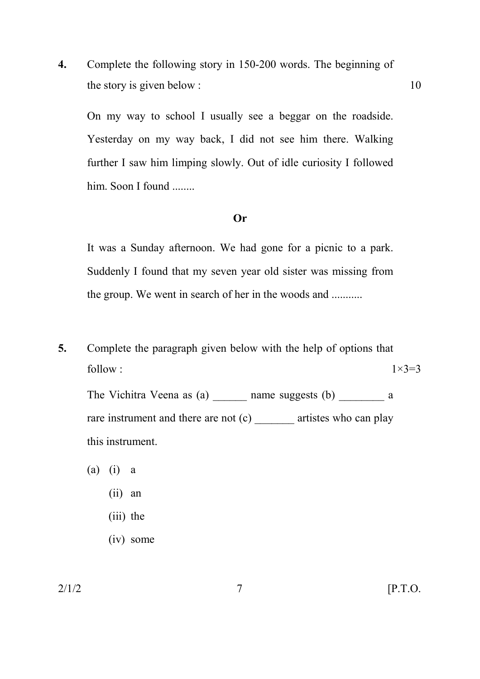**4.** Complete the following story in 150-200 words. The beginning of the story is given below :  $10$ 

On my way to school I usually see a beggar on the roadside. Yesterday on my way back, I did not see him there. Walking further I saw him limping slowly. Out of idle curiosity I followed him. Soon I found ........

#### **Or**

 It was a Sunday afternoon. We had gone for a picnic to a park. Suddenly I found that my seven year old sister was missing from the group. We went in search of her in the woods and ...........

**5.** Complete the paragraph given below with the help of options that follow :  $1 \times 3=3$ 

The Vichitra Veena as (a) and mame suggests (b) a rare instrument and there are not (c) \_\_\_\_\_\_\_\_ artistes who can play this instrument.

- (a) (i) a
	- (ii) an
	- (iii) the
	- (iv) some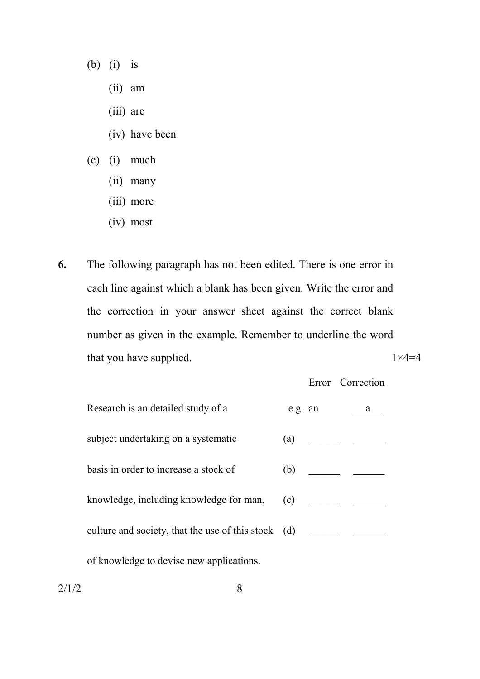- (b) (i) is
	- (ii) am
	- (iii) are
	- (iv) have been
- (c) (i) much
	- (ii) many
	- (iii) more
	- (iv) most
- **6.** The following paragraph has not been edited. There is one error in each line against which a blank has been given. Write the error and the correction in your answer sheet against the correct blank number as given in the example. Remember to underline the word that you have supplied.  $1 \times 4=4$

Error Correction

| Research is an detailed study of a                  | e.g. an | a |
|-----------------------------------------------------|---------|---|
| subject undertaking on a systematic                 | (a)     |   |
| basis in order to increase a stock of               | (b)     |   |
| knowledge, including knowledge for man,             | (c)     |   |
| culture and society, that the use of this stock (d) |         |   |
| of knowledge to devise new applications.            |         |   |

 $2/1/2$  8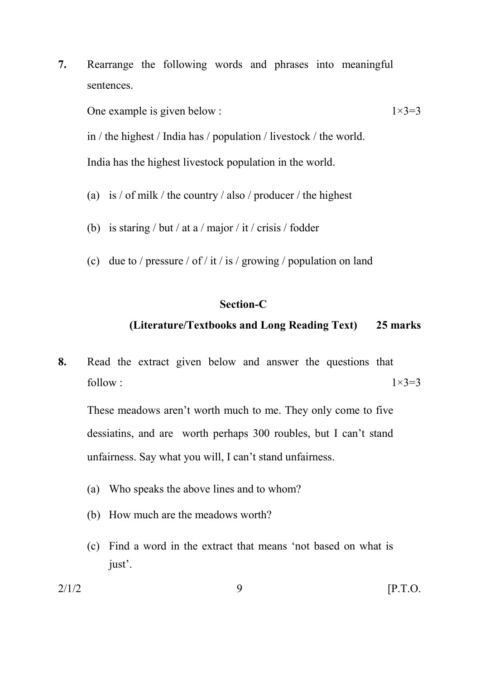**7.** Rearrange the following words and phrases into meaningful sentences.

One example is given below :  $1 \times 3=3$ 

 in / the highest / India has / population / livestock / the world. India has the highest livestock population in the world.

- (a) is / of milk / the country / also / producer / the highest
- (b) is staring / but / at a / major / it / crisis / fodder
- (c) due to / pressure / of / it / is / growing / population on land

### **Section-C**

### **(Literature/Textbooks and Long Reading Text) 25 marks**

**8.** Read the extract given below and answer the questions that follow :  $1 \times 3=3$ 

These meadows aren't worth much to me. They only come to five dessiatins, and are worth perhaps 300 roubles, but I can't stand unfairness. Say what you will, I can't stand unfairness.

- (a) Who speaks the above lines and to whom?
- (b) How much are the meadows worth?
- (c) Find a word in the extract that means 'not based on what is just'.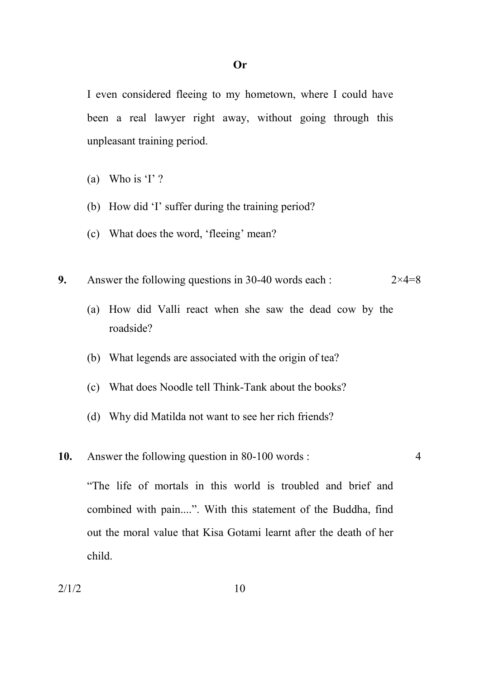I even considered fleeing to my hometown, where I could have been a real lawyer right away, without going through this unpleasant training period.

- (a) Who is 'I'?
- (b) How did 'I' suffer during the training period?
- (c) What does the word, 'fleeing' mean?
- **9.** Answer the following questions in 30-40 words each :  $2 \times 4=8$ 
	- (a) How did Valli react when she saw the dead cow by the roadside?
	- (b) What legends are associated with the origin of tea?
	- (c) What does Noodle tell Think-Tank about the books?
	- (d) Why did Matilda not want to see her rich friends?

#### **10.** Answer the following question in 80-100 words : 4

"The life of mortals in this world is troubled and brief and combined with pain....". With this statement of the Buddha, find out the moral value that Kisa Gotami learnt after the death of her child.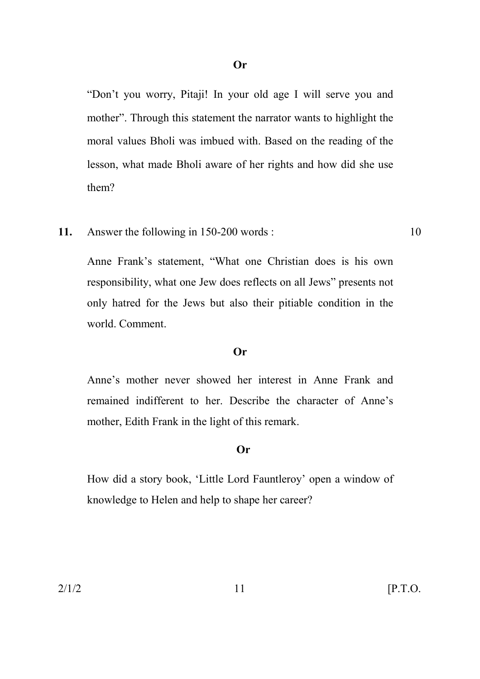"Don't you worry, Pitaji! In your old age I will serve you and mother". Through this statement the narrator wants to highlight the moral values Bholi was imbued with. Based on the reading of the lesson, what made Bholi aware of her rights and how did she use them?

**11.** Answer the following in 150-200 words : 10

Anne Frank's statement, "What one Christian does is his own responsibility, what one Jew does reflects on all Jews" presents not only hatred for the Jews but also their pitiable condition in the world. Comment.

#### **Or**

 Anne's mother never showed her interest in Anne Frank and remained indifferent to her. Describe the character of Anne's mother, Edith Frank in the light of this remark.

#### **Or**

 How did a story book, 'Little Lord Fauntleroy' open a window of knowledge to Helen and help to shape her career?